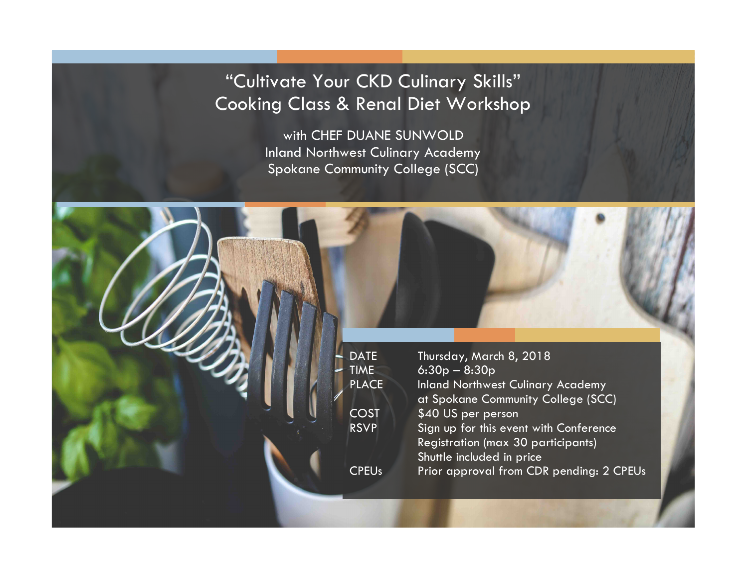## "Cultivate Your CKD Culinary Skills" Cooking Class & Renal Diet Workshop

with CHEF DUANE SUNWOLD Inland Northwest Culinary Academy Spokane Community College (SCC)